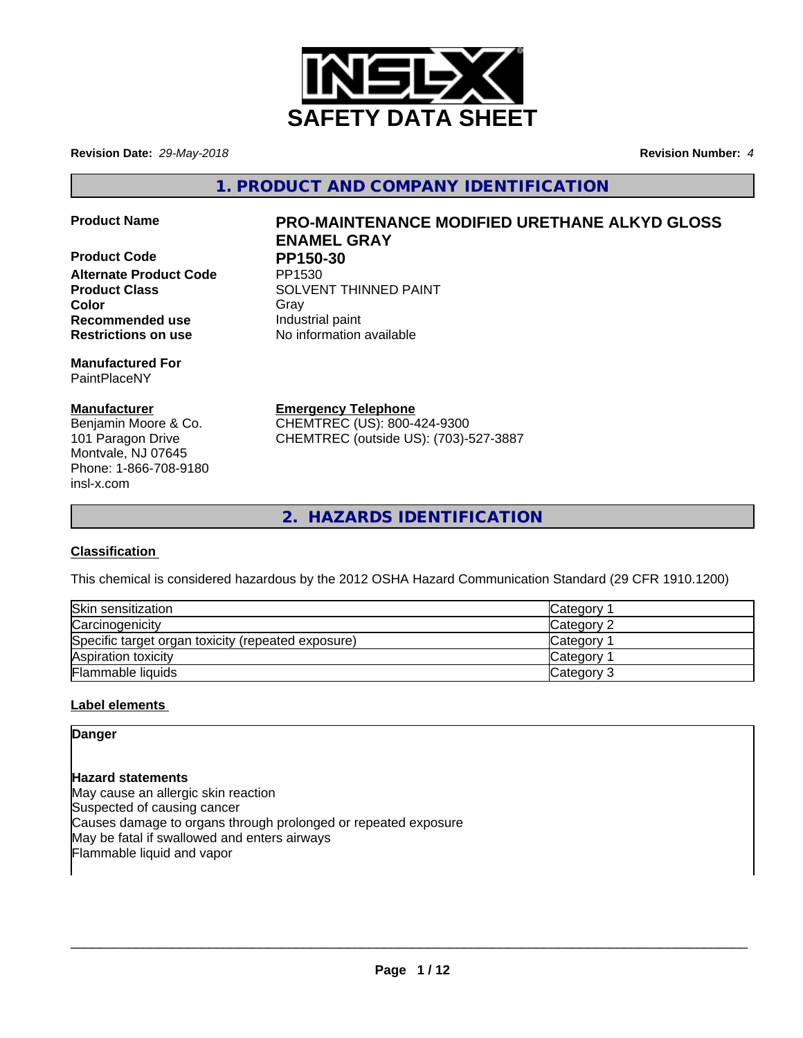

**Revision Date:** *29-May-2018* **Revision Number:** *4*

**1. PRODUCT AND COMPANY IDENTIFICATION**

**Product Code PP150-30**<br>Alternate Product Code PP1530 **Alternate Product Code Recommended use Industrial paint Restrictions on use** No information available

**Manufactured For** PaintPlaceNY

#### **Manufacturer**

Benjamin Moore & Co. 101 Paragon Drive Montvale, NJ 07645 Phone: 1-866-708-9180 insl-x.com

## **Product Name PRO-MAINTENANCE MODIFIED URETHANE ALKYD GLOSS ENAMEL GRAY**

**Product Class SOLVENT THINNED PAINT Color** Gray Gray

**Emergency Telephone**

CHEMTREC (US): 800-424-9300 CHEMTREC (outside US): (703)-527-3887

**2. HAZARDS IDENTIFICATION**

#### **Classification**

This chemical is considered hazardous by the 2012 OSHA Hazard Communication Standard (29 CFR 1910.1200)

| Skin sensitization                                 | Category        |
|----------------------------------------------------|-----------------|
| Carcinogenicity                                    | Category 2      |
| Specific target organ toxicity (repeated exposure) | <b>Category</b> |
| Aspiration toxicity                                | <b>Category</b> |
| Flammable liquids                                  | Category 3      |

#### **Label elements**

**Danger**

**Hazard statements** May cause an allergic skin reaction Suspected of causing cancer Causes damage to organs through prolonged or repeated exposure May be fatal if swallowed and enters airways Flammable liquid and vapor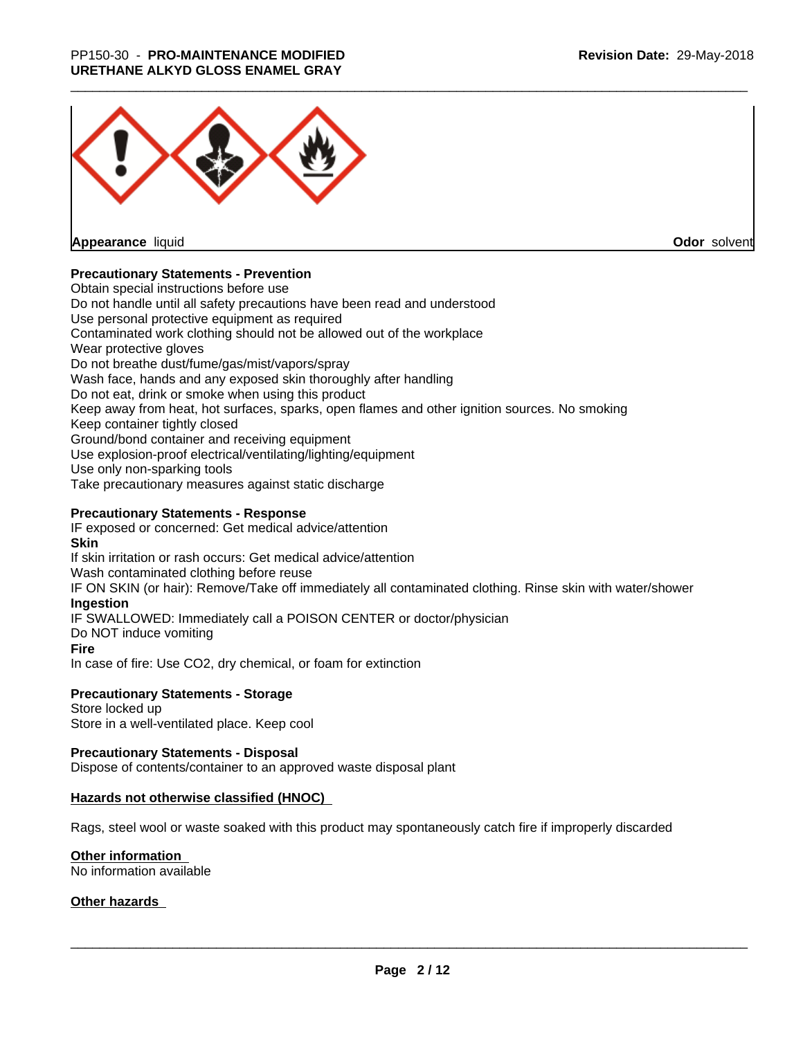

**Appearance** liquid

**Odor** solvent

#### **Precautionary Statements - Prevention**

Obtain special instructions before use Do not handle until all safety precautions have been read and understood Use personal protective equipment as required Contaminated work clothing should not be allowed out of the workplace Wear protective gloves Do not breathe dust/fume/gas/mist/vapors/spray Wash face, hands and any exposed skin thoroughly after handling Do not eat, drink or smoke when using this product Keep away from heat, hot surfaces, sparks, open flames and other ignition sources. No smoking Keep container tightly closed Ground/bond container and receiving equipment Use explosion-proof electrical/ventilating/lighting/equipment Use only non-sparking tools Take precautionary measures against static discharge

#### **Precautionary Statements - Response**

IF exposed or concerned: Get medical advice/attention **Skin** If skin irritation or rash occurs: Get medical advice/attention Wash contaminated clothing before reuse IF ON SKIN (or hair): Remove/Take off immediately all contaminated clothing. Rinse skin with water/shower **Ingestion** IF SWALLOWED: Immediately call a POISON CENTER or doctor/physician Do NOT induce vomiting **Fire** In case of fire: Use CO2, dry chemical, or foam for extinction

#### **Precautionary Statements - Storage**

Store locked up Store in a well-ventilated place. Keep cool

#### **Precautionary Statements - Disposal**

Dispose of contents/container to an approved waste disposal plant

#### **Hazards not otherwise classified (HNOC)**

Rags, steel wool or waste soaked with this product may spontaneously catch fire if improperly discarded

#### **Other information**

No information available

#### **Other hazards**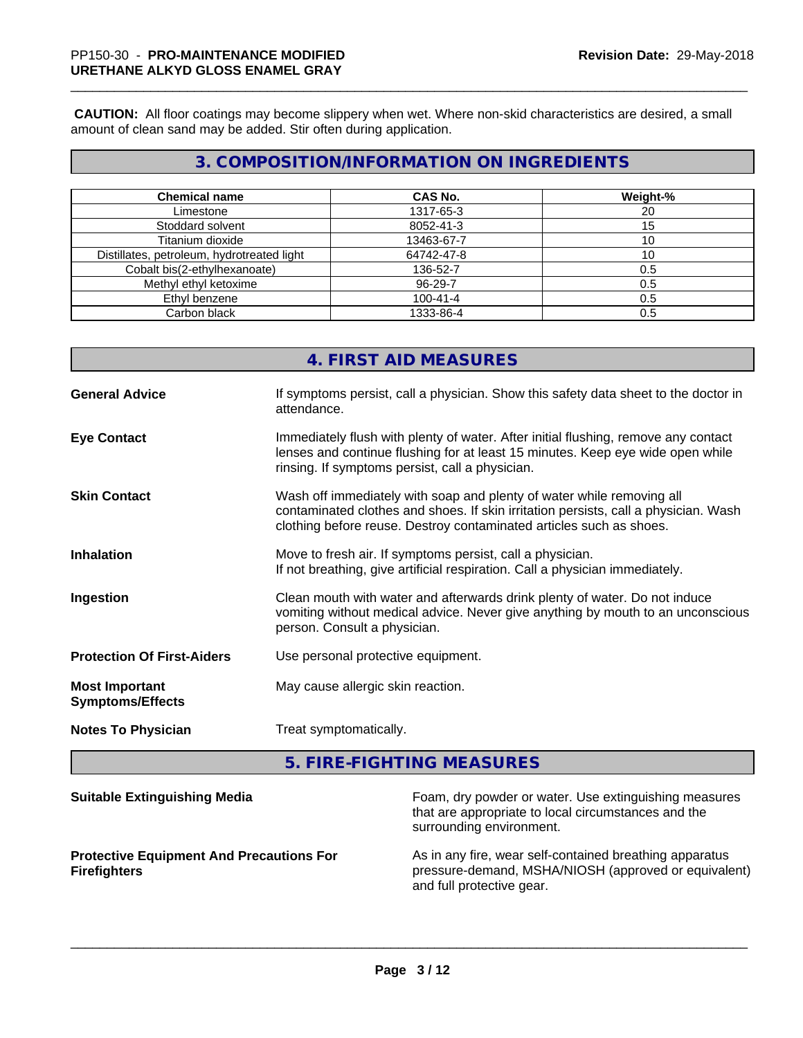**CAUTION:** All floor coatings may become slippery when wet. Where non-skid characteristics are desired, a small amount of clean sand may be added. Stir often during application.

## **3. COMPOSITION/INFORMATION ON INGREDIENTS**

| <b>Chemical name</b>                       | <b>CAS No.</b> | Weight-% |
|--------------------------------------------|----------------|----------|
| Limestone                                  | 1317-65-3      | 20       |
| Stoddard solvent                           | 8052-41-3      | 15       |
| Titanium dioxide                           | 13463-67-7     | 10       |
| Distillates, petroleum, hydrotreated light | 64742-47-8     | 10       |
| Cobalt bis(2-ethylhexanoate)               | 136-52-7       | 0.5      |
| Methyl ethyl ketoxime                      | 96-29-7        | 0.5      |
| Ethyl benzene                              | $100 - 41 - 4$ | 0.5      |
| Carbon black                               | 1333-86-4      | 0.5      |

# **4. FIRST AID MEASURES**

| <b>General Advice</b>                            | If symptoms persist, call a physician. Show this safety data sheet to the doctor in<br>attendance.                                                                                                                                  |
|--------------------------------------------------|-------------------------------------------------------------------------------------------------------------------------------------------------------------------------------------------------------------------------------------|
| <b>Eye Contact</b>                               | Immediately flush with plenty of water. After initial flushing, remove any contact<br>lenses and continue flushing for at least 15 minutes. Keep eye wide open while<br>rinsing. If symptoms persist, call a physician.             |
| <b>Skin Contact</b>                              | Wash off immediately with soap and plenty of water while removing all<br>contaminated clothes and shoes. If skin irritation persists, call a physician. Wash<br>clothing before reuse. Destroy contaminated articles such as shoes. |
| <b>Inhalation</b>                                | Move to fresh air. If symptoms persist, call a physician.<br>If not breathing, give artificial respiration. Call a physician immediately.                                                                                           |
| Ingestion                                        | Clean mouth with water and afterwards drink plenty of water. Do not induce<br>vomiting without medical advice. Never give anything by mouth to an unconscious<br>person. Consult a physician.                                       |
| <b>Protection Of First-Aiders</b>                | Use personal protective equipment.                                                                                                                                                                                                  |
| <b>Most Important</b><br><b>Symptoms/Effects</b> | May cause allergic skin reaction.                                                                                                                                                                                                   |
| <b>Notes To Physician</b>                        | Treat symptomatically.                                                                                                                                                                                                              |

**5. FIRE-FIGHTING MEASURES**

| <b>Suitable Extinguishing Media</b>                                    | Foam, dry powder or water. Use extinguishing measures<br>that are appropriate to local circumstances and the<br>surrounding environment.     |
|------------------------------------------------------------------------|----------------------------------------------------------------------------------------------------------------------------------------------|
| <b>Protective Equipment And Precautions For</b><br><b>Firefighters</b> | As in any fire, wear self-contained breathing apparatus<br>pressure-demand, MSHA/NIOSH (approved or equivalent)<br>and full protective gear. |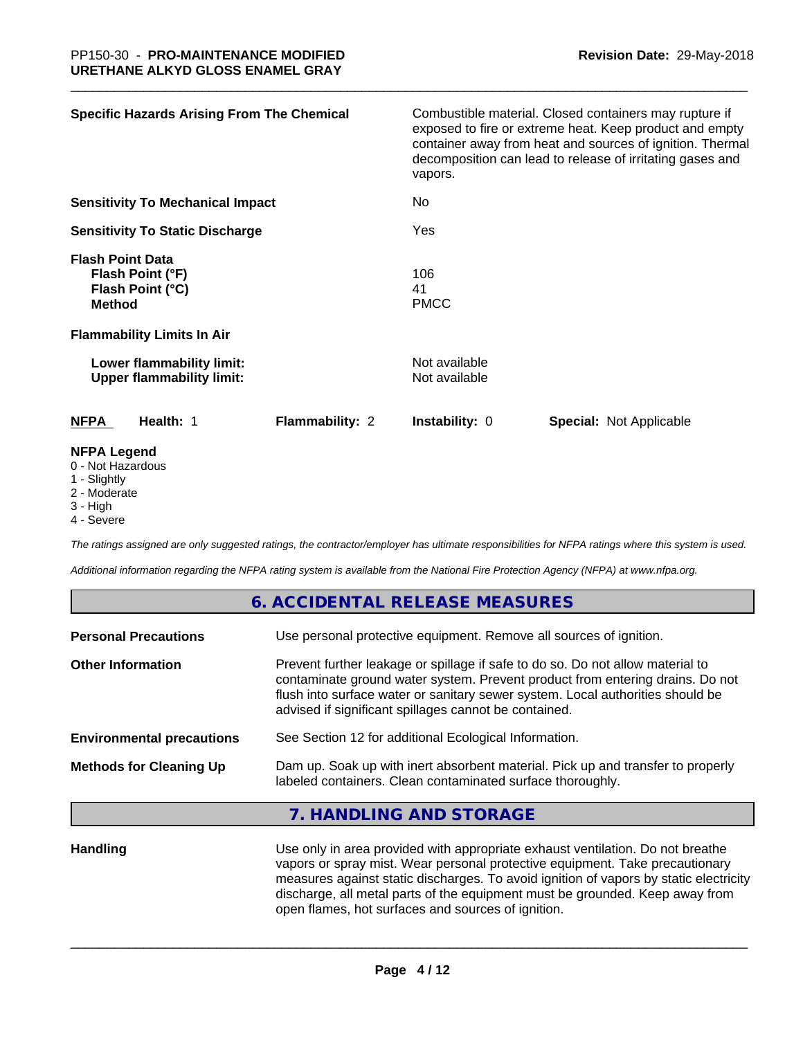| <b>Specific Hazards Arising From The Chemical</b>                                 |                        | vapors.                        | Combustible material. Closed containers may rupture if<br>exposed to fire or extreme heat. Keep product and empty<br>container away from heat and sources of ignition. Thermal<br>decomposition can lead to release of irritating gases and |
|-----------------------------------------------------------------------------------|------------------------|--------------------------------|---------------------------------------------------------------------------------------------------------------------------------------------------------------------------------------------------------------------------------------------|
| <b>Sensitivity To Mechanical Impact</b><br><b>Sensitivity To Static Discharge</b> |                        | No<br>Yes                      |                                                                                                                                                                                                                                             |
|                                                                                   |                        |                                |                                                                                                                                                                                                                                             |
| Lower flammability limit:<br><b>Upper flammability limit:</b>                     |                        | Not available<br>Not available |                                                                                                                                                                                                                                             |
| <b>NFPA</b><br>Health: 1                                                          | <b>Flammability: 2</b> | <b>Instability: 0</b>          | <b>Special: Not Applicable</b>                                                                                                                                                                                                              |
| <b>NFPA Legend</b><br>0 - Not Hazardous<br>1 - Slightly                           |                        |                                |                                                                                                                                                                                                                                             |

- 2 Moderate
- 3 High
- 4 Severe

*The ratings assigned are only suggested ratings, the contractor/employer has ultimate responsibilities for NFPA ratings where this system is used.*

**6. ACCIDENTAL RELEASE MEASURES**

*Additional information regarding the NFPA rating system is available from the National Fire Protection Agency (NFPA) at www.nfpa.org.*

|                                  | 6. ACCIDENTAL RELEASE MEASURES                                                                                                                                                                                                                                                                             |
|----------------------------------|------------------------------------------------------------------------------------------------------------------------------------------------------------------------------------------------------------------------------------------------------------------------------------------------------------|
| <b>Personal Precautions</b>      | Use personal protective equipment. Remove all sources of ignition.                                                                                                                                                                                                                                         |
| <b>Other Information</b>         | Prevent further leakage or spillage if safe to do so. Do not allow material to<br>contaminate ground water system. Prevent product from entering drains. Do not<br>flush into surface water or sanitary sewer system. Local authorities should be<br>advised if significant spillages cannot be contained. |
| <b>Environmental precautions</b> | See Section 12 for additional Ecological Information.                                                                                                                                                                                                                                                      |
| <b>Methods for Cleaning Up</b>   | Dam up. Soak up with inert absorbent material. Pick up and transfer to properly<br>labeled containers. Clean contaminated surface thoroughly.                                                                                                                                                              |
|                                  | 7. HANDLING AND STORAGE                                                                                                                                                                                                                                                                                    |
| <b>Llandling</b>                 | Lee only in area provided with appropriate exhaust ventilation. De not breather                                                                                                                                                                                                                            |

**Handling** Use only in area provided with appropriate exhaust ventilation. Do not breathe vapors or spray mist. Wear personal protective equipment. Take precautionary measures against static discharges. To avoid ignition of vapors by static electricity discharge, all metal parts of the equipment must be grounded. Keep away from open flames, hot surfaces and sources of ignition.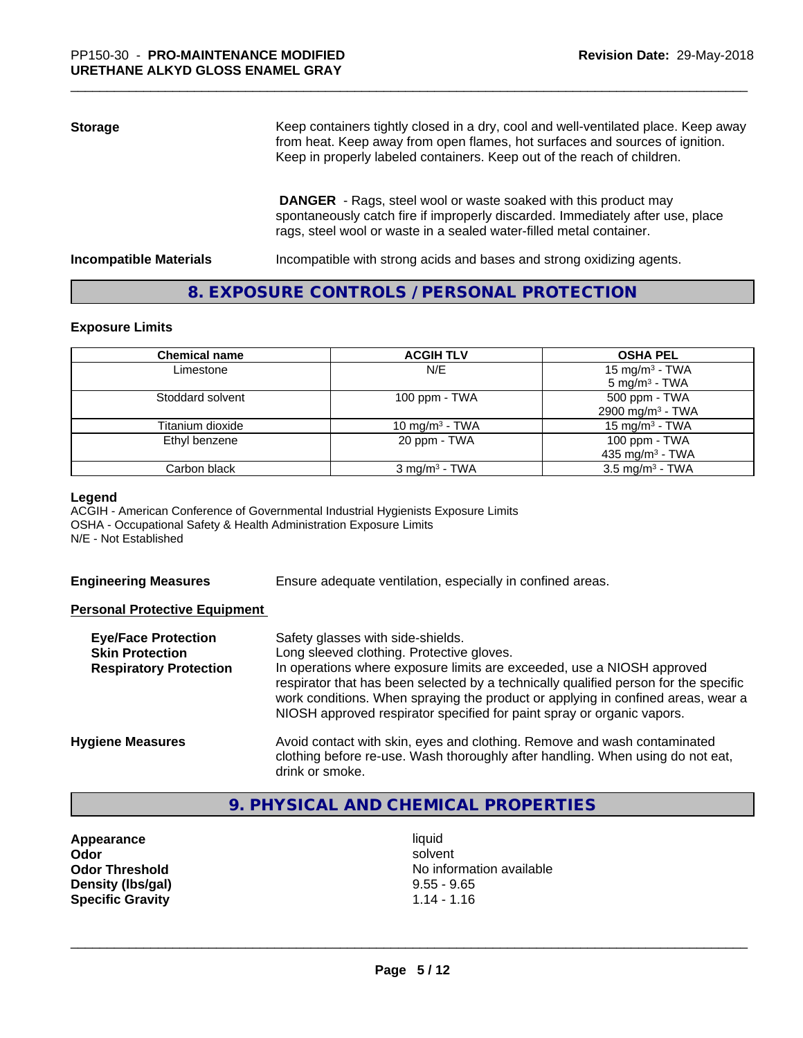## **Storage** Keep containers tightly closed in a dry, cool and well-ventilated place. Keep away from heat. Keep away from open flames, hot surfaces and sources of ignition. Keep in properly labeled containers. Keep out of the reach of children.  **DANGER** - Rags, steel wool or waste soaked with this product may spontaneously catch fire if improperly discarded. Immediately after use, place rags, steel wool or waste in a sealed water-filled metal container.

**Incompatible Materials Incompatible with strong acids and bases and strong oxidizing agents.** 

#### **8. EXPOSURE CONTROLS / PERSONAL PROTECTION**

#### **Exposure Limits**

| <b>Chemical name</b> | <b>ACGIH TLV</b>         | <b>OSHA PEL</b>                                        |
|----------------------|--------------------------|--------------------------------------------------------|
| Limestone            | N/E                      | 15 mg/m <sup>3</sup> - TWA<br>$5 \text{ mg/m}^3$ - TWA |
| Stoddard solvent     | 100 ppm $-$ TWA          | 500 ppm - TWA<br>2900 mg/m <sup>3</sup> - TWA          |
| Titanium dioxide     | 10 mg/m $3$ - TWA        | 15 mg/m $3$ - TWA                                      |
| Ethyl benzene        | 20 ppm - TWA             | 100 ppm - TWA<br>435 mg/m <sup>3</sup> - TWA           |
| Carbon black         | $3 \text{ mg/m}^3$ - TWA | $3.5 \text{ mg/m}^3$ - TWA                             |

#### **Legend**

ACGIH - American Conference of Governmental Industrial Hygienists Exposure Limits OSHA - Occupational Safety & Health Administration Exposure Limits N/E - Not Established

|  | <b>Engineering Measures</b> |
|--|-----------------------------|
|  |                             |

Ensure adequate ventilation, especially in confined areas.

#### **Personal Protective Equipment**

| <b>Eye/Face Protection</b><br><b>Skin Protection</b><br><b>Respiratory Protection</b> | Safety glasses with side-shields.<br>Long sleeved clothing. Protective gloves.<br>In operations where exposure limits are exceeded, use a NIOSH approved<br>respirator that has been selected by a technically qualified person for the specific<br>work conditions. When spraying the product or applying in confined areas, wear a<br>NIOSH approved respirator specified for paint spray or organic vapors. |
|---------------------------------------------------------------------------------------|----------------------------------------------------------------------------------------------------------------------------------------------------------------------------------------------------------------------------------------------------------------------------------------------------------------------------------------------------------------------------------------------------------------|
| <b>Hygiene Measures</b>                                                               | Avoid contact with skin, eyes and clothing. Remove and wash contaminated<br>clothing before re-use. Wash thoroughly after handling. When using do not eat,<br>drink or smoke.                                                                                                                                                                                                                                  |

#### **9. PHYSICAL AND CHEMICAL PROPERTIES**

**Appearance** liquid **Density (lbs/gal)** 9.55 - 9.65<br> **Specific Gravity** 1.14 - 1.16 **Specific Gravity** 

**Odor** solvent **Odor Threshold** No information available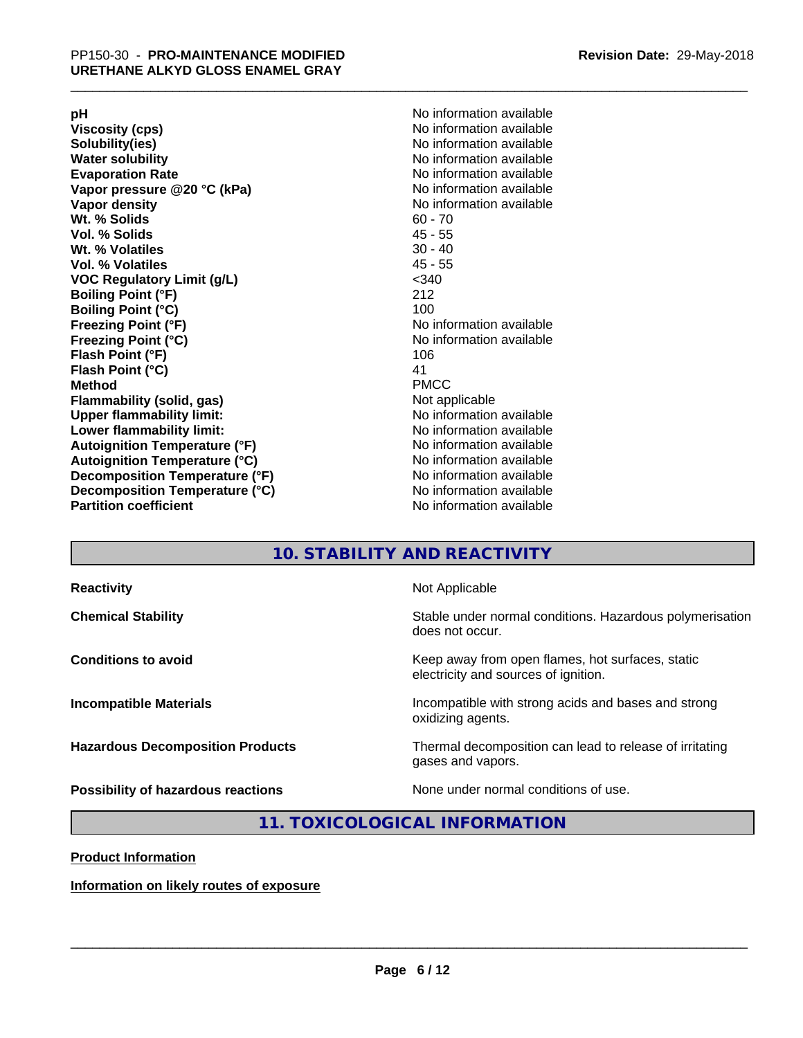**Viscosity (cps)** <br> **Viscosity (cps)** No information available<br>
No information available<br>
No information available **Water solubility**<br> **Evaporation Rate**<br> **Evaporation Rate**<br> **Evaporation Rate Vapor** pressure @20 °C (kPa) **Vapor density No information available Wt. % Solids** 60 - 70<br> **Vol. % Solids** 60 - 70<br> **Vol. % Solids** 65 **Vol. % Solids Wt.** % Volatiles 30 - 40 **Vol. % Volatiles** 45 - 55 **VOC Regulatory Limit (g/L)** <340 **Boiling Point (°F)** 212 **Boiling Point (°C)**<br>Freezing Point (°F) **Freezing Point (°C)** No information available **Flash Point (°F)** 106 **Flash Point (°C)** 41 **Method** PMCC **Flammability (solid, gas)** Not applicable **Upper flammability limit:** No information available **Lower flammability limit:** No information available **Autoignition Temperature (°F)** No information available **Autoignition Temperature (°C)** No information available **Decomposition Temperature (°F)**<br> **Decomposition Temperature (°C)** No information available<br>
No information available **Decomposition Temperature (°C)**<br>Partition coefficient

**pH**<br>
Viscosity (cps) The Contract of the Contract of the Viscosity (cps) and Viscosity (cps) **Solubility(ies)** No information available No information available<br>No information available **No information available No information available** 

### **10. STABILITY AND REACTIVITY**

| <b>Reactivity</b>                         | Not Applicable                                                                           |
|-------------------------------------------|------------------------------------------------------------------------------------------|
| <b>Chemical Stability</b>                 | Stable under normal conditions. Hazardous polymerisation<br>does not occur.              |
| <b>Conditions to avoid</b>                | Keep away from open flames, hot surfaces, static<br>electricity and sources of ignition. |
| <b>Incompatible Materials</b>             | Incompatible with strong acids and bases and strong<br>oxidizing agents.                 |
| <b>Hazardous Decomposition Products</b>   | Thermal decomposition can lead to release of irritating<br>gases and vapors.             |
| <b>Possibility of hazardous reactions</b> | None under normal conditions of use.                                                     |

#### **11. TOXICOLOGICAL INFORMATION**

**Product Information**

**Information on likely routes of exposure**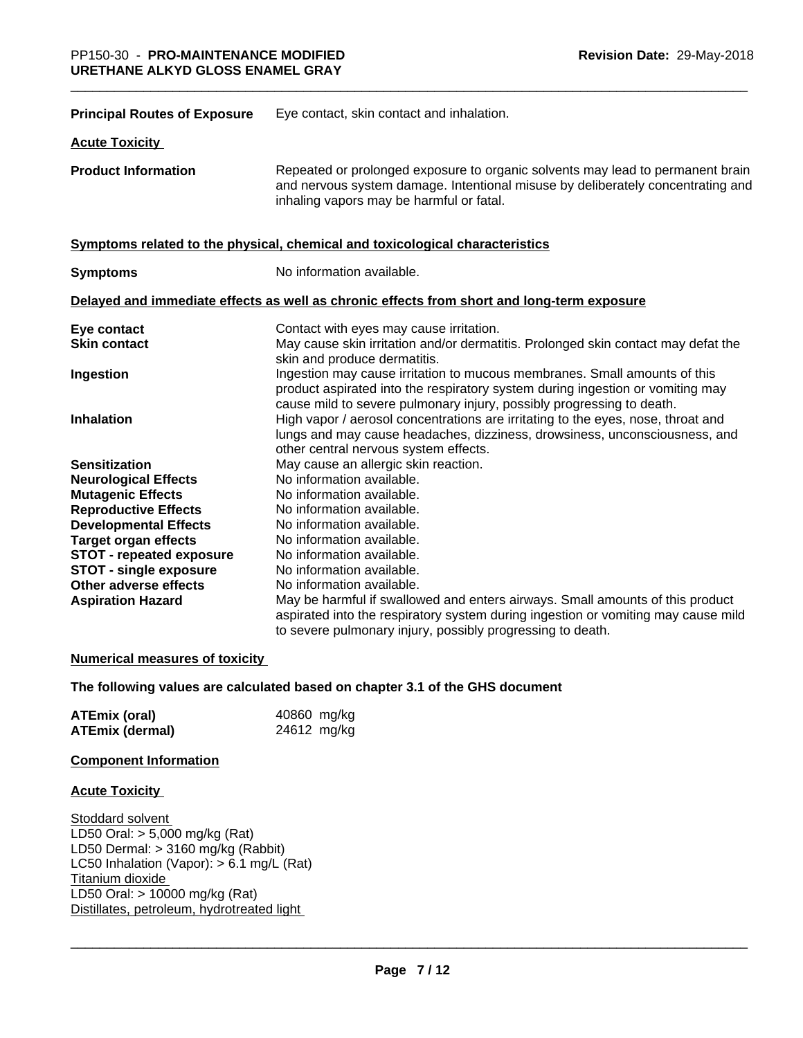| <b>Principal Routes of Exposure</b> | Eye contact, skin contact and inhalation.                                                                                                                                                                                            |
|-------------------------------------|--------------------------------------------------------------------------------------------------------------------------------------------------------------------------------------------------------------------------------------|
| <b>Acute Toxicity</b>               |                                                                                                                                                                                                                                      |
| <b>Product Information</b>          | Repeated or prolonged exposure to organic solvents may lead to permanent brain<br>and nervous system damage. Intentional misuse by deliberately concentrating and<br>inhaling vapors may be harmful or fatal.                        |
|                                     | Symptoms related to the physical, chemical and toxicological characteristics                                                                                                                                                         |
| <b>Symptoms</b>                     | No information available.                                                                                                                                                                                                            |
|                                     | Delayed and immediate effects as well as chronic effects from short and long-term exposure                                                                                                                                           |
| Eye contact<br><b>Skin contact</b>  | Contact with eyes may cause irritation.<br>May cause skin irritation and/or dermatitis. Prolonged skin contact may defat the<br>skin and produce dermatitis.                                                                         |
| Ingestion                           | Ingestion may cause irritation to mucous membranes. Small amounts of this<br>product aspirated into the respiratory system during ingestion or vomiting may<br>cause mild to severe pulmonary injury, possibly progressing to death. |
| Inhalation                          | High vapor / aerosol concentrations are irritating to the eyes, nose, throat and<br>lungs and may cause headaches, dizziness, drowsiness, unconsciousness, and<br>other central nervous system effects.                              |
| <b>Sensitization</b>                | May cause an allergic skin reaction.                                                                                                                                                                                                 |
| <b>Neurological Effects</b>         | No information available.                                                                                                                                                                                                            |
| <b>Mutagenic Effects</b>            | No information available.                                                                                                                                                                                                            |
| <b>Reproductive Effects</b>         | No information available.                                                                                                                                                                                                            |
| <b>Developmental Effects</b>        | No information available.                                                                                                                                                                                                            |
| <b>Target organ effects</b>         | No information available.                                                                                                                                                                                                            |
| <b>STOT - repeated exposure</b>     | No information available.                                                                                                                                                                                                            |
| <b>STOT - single exposure</b>       | No information available.                                                                                                                                                                                                            |
| Other adverse effects               | No information available.                                                                                                                                                                                                            |
| <b>Aspiration Hazard</b>            | May be harmful if swallowed and enters airways. Small amounts of this product<br>aspirated into the respiratory system during ingestion or vomiting may cause mild<br>to severe pulmonary injury, possibly progressing to death.     |

#### **Numerical measures of toxicity**

#### **The following values are calculated based on chapter 3.1 of the GHS document**

| <b>ATEmix (oral)</b>   | 40860 mg/kg |
|------------------------|-------------|
| <b>ATEmix (dermal)</b> | 24612 mg/kg |

#### **Component Information**

#### **Acute Toxicity**

Stoddard solvent LD50 Oral: > 5,000 mg/kg (Rat) LD50 Dermal: > 3160 mg/kg (Rabbit) LC50 Inhalation (Vapor): > 6.1 mg/L (Rat) Titanium dioxide LD50 Oral: > 10000 mg/kg (Rat) Distillates, petroleum, hydrotreated light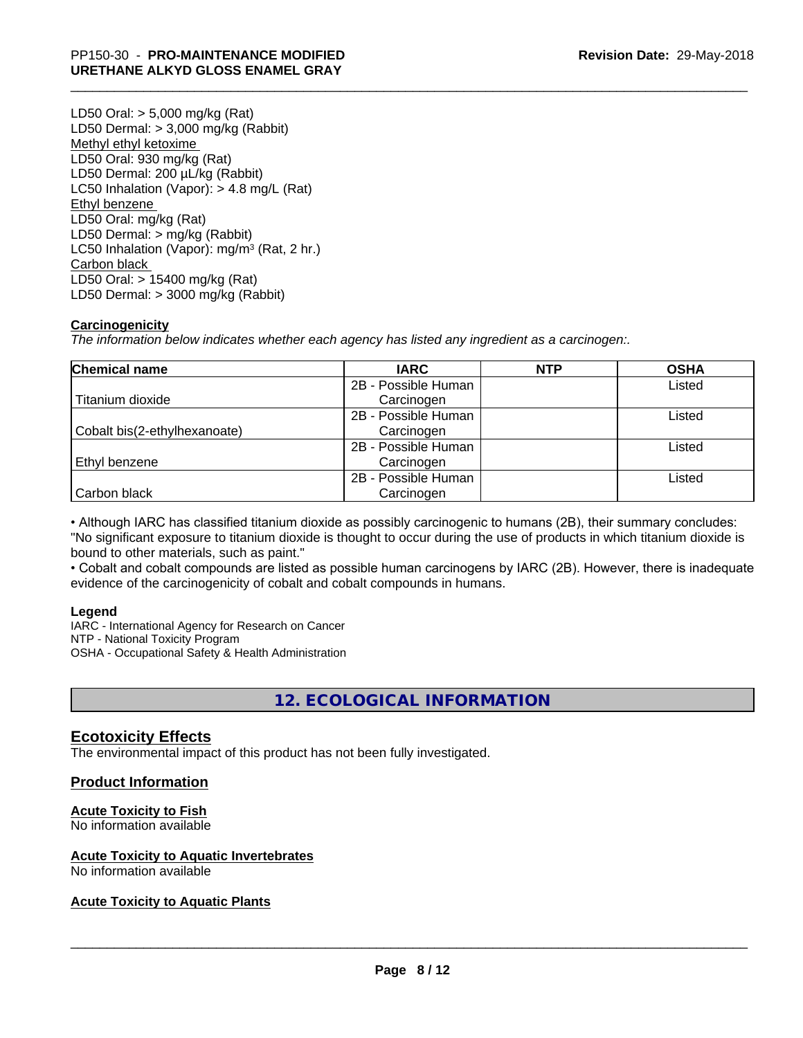LD50 Oral: > 5,000 mg/kg (Rat) LD50 Dermal: > 3,000 mg/kg (Rabbit) Methyl ethyl ketoxime LD50 Oral: 930 mg/kg (Rat) LD50 Dermal: 200 µL/kg (Rabbit) LC50 Inhalation (Vapor): > 4.8 mg/L (Rat) Ethyl benzene LD50 Oral: mg/kg (Rat) LD50 Dermal: > mg/kg (Rabbit) LC50 Inhalation (Vapor): mg/m<sup>3</sup> (Rat, 2 hr.) Carbon black LD50 Oral: > 15400 mg/kg (Rat) LD50 Dermal: > 3000 mg/kg (Rabbit)

#### **Carcinogenicity**

*The information below indicateswhether each agency has listed any ingredient as a carcinogen:.*

| <b>Chemical name</b>         | <b>IARC</b>         | <b>NTP</b> | <b>OSHA</b> |
|------------------------------|---------------------|------------|-------------|
|                              | 2B - Possible Human |            | Listed      |
| Titanium dioxide             | Carcinogen          |            |             |
|                              | 2B - Possible Human |            | Listed      |
| Cobalt bis(2-ethylhexanoate) | Carcinogen          |            |             |
|                              | 2B - Possible Human |            | Listed      |
| Ethyl benzene                | Carcinogen          |            |             |
|                              | 2B - Possible Human |            | Listed      |
| Carbon black                 | Carcinogen          |            |             |

• Although IARC has classified titanium dioxide as possibly carcinogenic to humans (2B), their summary concludes: "No significant exposure to titanium dioxide is thought to occur during the use of products in which titanium dioxide is bound to other materials, such as paint."

• Cobalt and cobalt compounds are listed as possible human carcinogens by IARC (2B). However, there is inadequate evidence of the carcinogenicity of cobalt and cobalt compounds in humans.

#### **Legend**

IARC - International Agency for Research on Cancer NTP - National Toxicity Program OSHA - Occupational Safety & Health Administration

## **12. ECOLOGICAL INFORMATION**

#### **Ecotoxicity Effects**

The environmental impact of this product has not been fully investigated.

#### **Product Information**

#### **Acute Toxicity to Fish**

No information available

#### **Acute Toxicity to Aquatic Invertebrates**

No information available

#### **Acute Toxicity to Aquatic Plants**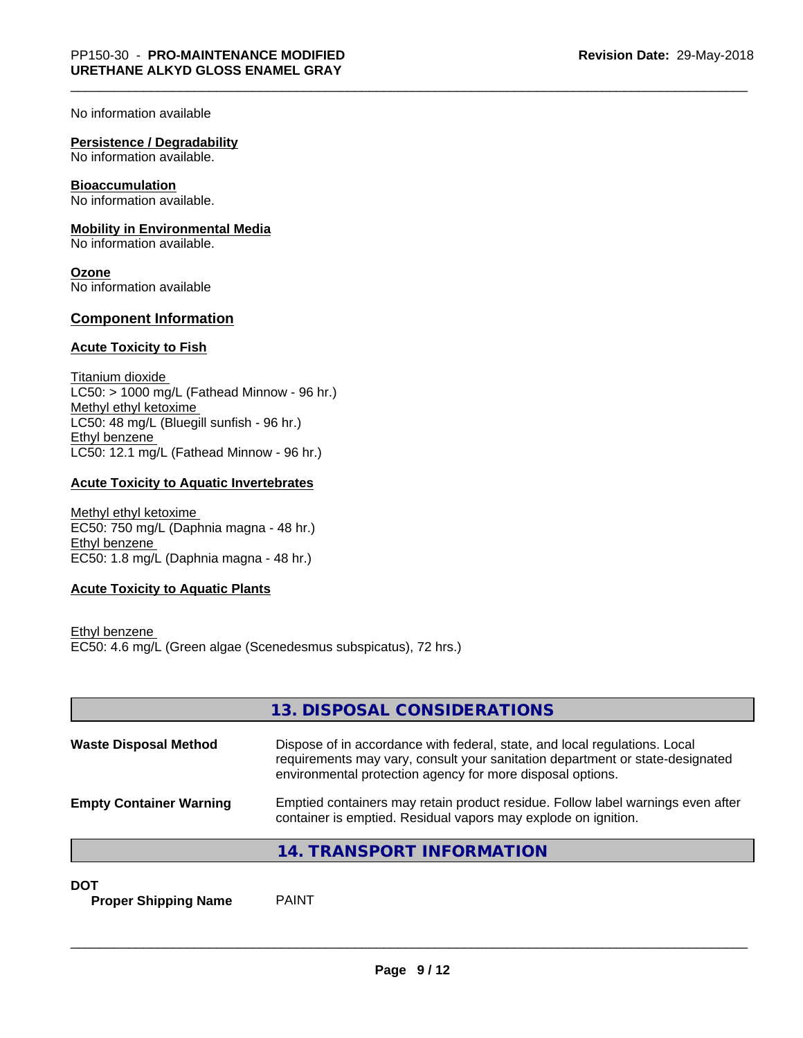No information available

#### **Persistence / Degradability**

No information available.

#### **Bioaccumulation**

No information available.

#### **Mobility in Environmental Media**

No information available.

**Ozone** No information available

#### **Component Information**

#### **Acute Toxicity to Fish**

Titanium dioxide  $LC50:$  > 1000 mg/L (Fathead Minnow - 96 hr.) Methyl ethyl ketoxime LC50: 48 mg/L (Bluegill sunfish - 96 hr.) Ethyl benzene LC50: 12.1 mg/L (Fathead Minnow - 96 hr.)

#### **Acute Toxicity to Aquatic Invertebrates**

Methyl ethyl ketoxime EC50: 750 mg/L (Daphnia magna - 48 hr.) Ethyl benzene EC50: 1.8 mg/L (Daphnia magna - 48 hr.)

#### **Acute Toxicity to Aquatic Plants**

Ethyl benzene EC50: 4.6 mg/L (Green algae (Scenedesmus subspicatus), 72 hrs.)

|                                | 13. DISPOSAL CONSIDERATIONS                                                                                                                                                                                               |
|--------------------------------|---------------------------------------------------------------------------------------------------------------------------------------------------------------------------------------------------------------------------|
| <b>Waste Disposal Method</b>   | Dispose of in accordance with federal, state, and local regulations. Local<br>requirements may vary, consult your sanitation department or state-designated<br>environmental protection agency for more disposal options. |
| <b>Empty Container Warning</b> | Emptied containers may retain product residue. Follow label warnings even after<br>container is emptied. Residual vapors may explode on ignition.                                                                         |
|                                | 14. TRANSPORT INFORMATION                                                                                                                                                                                                 |

**DOT**

**Proper Shipping Name** PAINT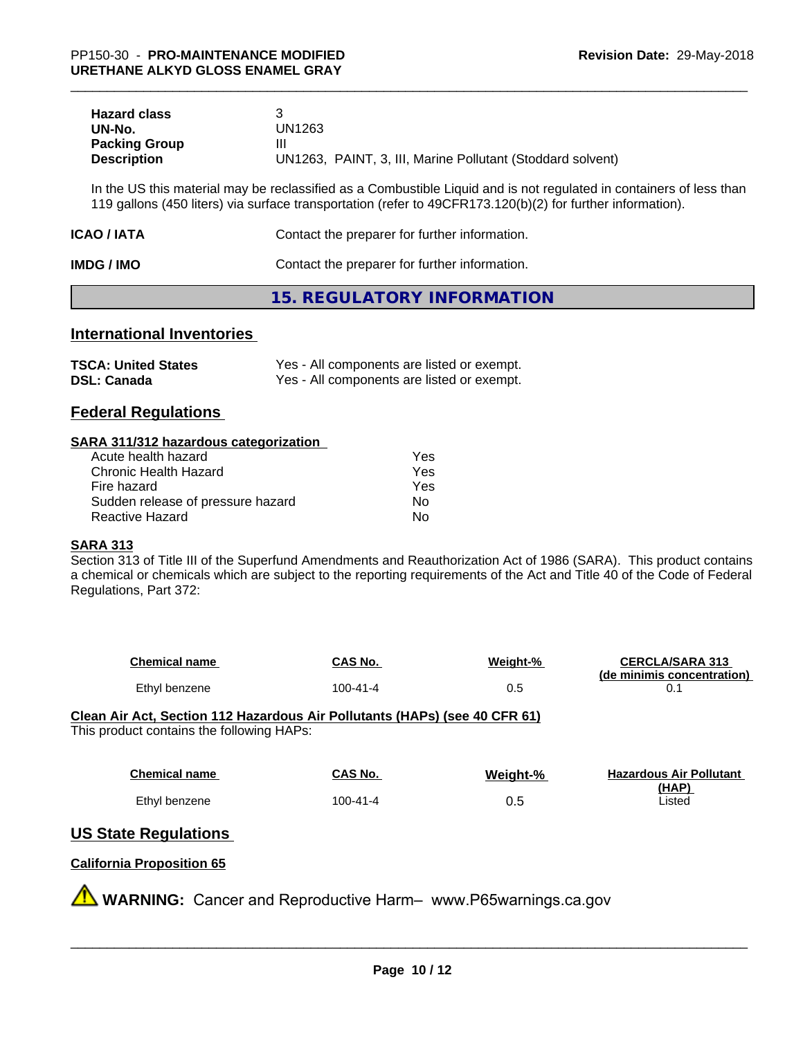| <b>Hazard class</b>  |                                                            |
|----------------------|------------------------------------------------------------|
| UN-No.               | UN1263                                                     |
| <b>Packing Group</b> | Ш                                                          |
| <b>Description</b>   | UN1263, PAINT, 3, III, Marine Pollutant (Stoddard solvent) |

In the US this material may be reclassified as a Combustible Liquid and is not regulated in containers of less than 119 gallons (450 liters) via surface transportation (refer to 49CFR173.120(b)(2) for further information).

| ICAO / IATA | Contact the preparer for further information. |
|-------------|-----------------------------------------------|
| IMDG / IMO  | Contact the preparer for further information. |

#### **15. REGULATORY INFORMATION**

#### **International Inventories**

| <b>TSCA: United States</b> | Yes - All components are listed or exempt. |
|----------------------------|--------------------------------------------|
| <b>DSL: Canada</b>         | Yes - All components are listed or exempt. |

#### **Federal Regulations**

#### **SARA 311/312 hazardous categorization**

| Acute health hazard               | Yes |  |
|-----------------------------------|-----|--|
| Chronic Health Hazard             | Yes |  |
| Fire hazard                       | Yes |  |
| Sudden release of pressure hazard | Nο  |  |
| Reactive Hazard                   | Nο  |  |

#### **SARA 313**

Section 313 of Title III of the Superfund Amendments and Reauthorization Act of 1986 (SARA). This product contains a chemical or chemicals which are subject to the reporting requirements of the Act and Title 40 of the Code of Federal Regulations, Part 372:

| <b>Chemical name</b> | CAS No.  | Weight-% | <b>CERCLA/SARA 313</b><br>(de minimis concentration) |
|----------------------|----------|----------|------------------------------------------------------|
| Ethyl benzene        | 100-41-4 | U.J      |                                                      |

**Clean Air Act,Section 112 Hazardous Air Pollutants (HAPs) (see 40 CFR 61)** This product contains the following HAPs:

| <b>Chemical name</b> | CAS No.  | Weight-% | <b>Hazardous Air Pollutant</b> |
|----------------------|----------|----------|--------------------------------|
|                      |          |          | (HAP)                          |
| Ethyl benzene        | 100-41-4 | 0.5      | Listed                         |

#### **US State Regulations**

#### **California Proposition 65**

**WARNING:** Cancer and Reproductive Harm– www.P65warnings.ca.gov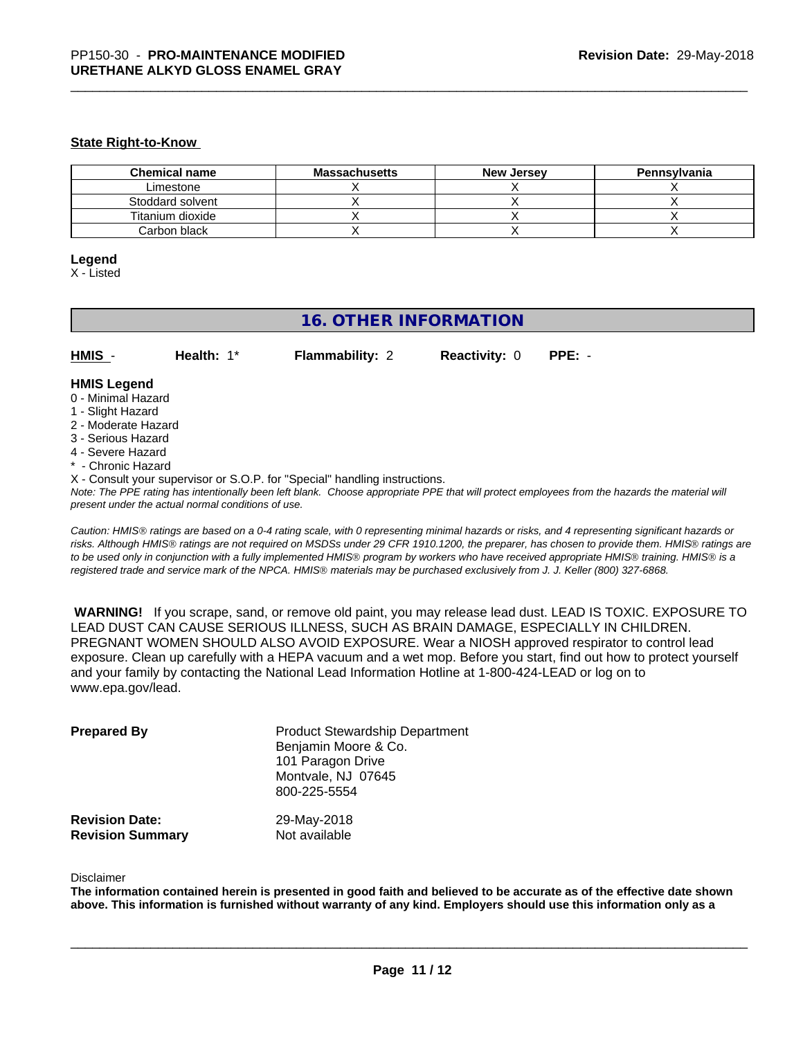#### **State Right-to-Know**

| <b>Chemical name</b> | <b>Massachusetts</b> | <b>New Jersey</b> | Pennsylvania |
|----------------------|----------------------|-------------------|--------------|
| Limestone            |                      |                   |              |
| Stoddard solvent     |                      |                   |              |
| Titanium dioxide     |                      |                   |              |
| Carbon black         |                      |                   |              |

#### **Legend**

X - Listed

#### **16. OTHER INFORMATION**

| HMIS | <b>Health: 1*</b> | <b>Flammability: 2</b> | <b>Reactivity: 0 PPE: -</b> |  |
|------|-------------------|------------------------|-----------------------------|--|
|      |                   |                        |                             |  |

#### **HMIS Legend**

- 0 Minimal Hazard
- 1 Slight Hazard
- 2 Moderate Hazard
- 3 Serious Hazard
- 4 Severe Hazard
- \* Chronic Hazard
- X Consult your supervisor or S.O.P. for "Special" handling instructions.

*Note: The PPE rating has intentionally been left blank. Choose appropriate PPE that will protect employees from the hazards the material will present under the actual normal conditions of use.*

*Caution: HMISÒ ratings are based on a 0-4 rating scale, with 0 representing minimal hazards or risks, and 4 representing significant hazards or risks. Although HMISÒ ratings are not required on MSDSs under 29 CFR 1910.1200, the preparer, has chosen to provide them. HMISÒ ratings are to be used only in conjunction with a fully implemented HMISÒ program by workers who have received appropriate HMISÒ training. HMISÒ is a registered trade and service mark of the NPCA. HMISÒ materials may be purchased exclusively from J. J. Keller (800) 327-6868.*

 **WARNING!** If you scrape, sand, or remove old paint, you may release lead dust. LEAD IS TOXIC. EXPOSURE TO LEAD DUST CAN CAUSE SERIOUS ILLNESS, SUCH AS BRAIN DAMAGE, ESPECIALLY IN CHILDREN. PREGNANT WOMEN SHOULD ALSO AVOID EXPOSURE. Wear a NIOSH approved respirator to control lead exposure. Clean up carefully with a HEPA vacuum and a wet mop. Before you start, find out how to protect yourself and your family by contacting the National Lead Information Hotline at 1-800-424-LEAD or log on to www.epa.gov/lead.

| <b>Prepared By</b>      | <b>Product Stewardship Department</b><br>Benjamin Moore & Co.<br>101 Paragon Drive<br>Montvale, NJ 07645<br>800-225-5554 |
|-------------------------|--------------------------------------------------------------------------------------------------------------------------|
| <b>Revision Date:</b>   | 29-May-2018                                                                                                              |
| <b>Revision Summary</b> | Not available                                                                                                            |

#### Disclaimer

The information contained herein is presented in good faith and believed to be accurate as of the effective date shown above. This information is furnished without warranty of any kind. Employers should use this information only as a